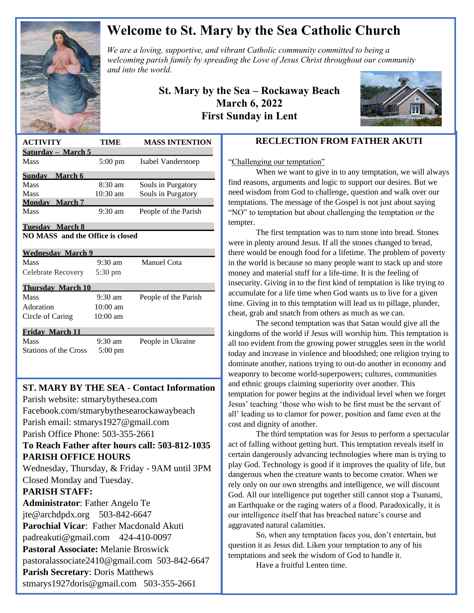

# **Welcome to St. Mary by the Sea Catholic Church**

*We are a loving, supportive, and vibrant Catholic community committed to being a We are a loving, supportive, and vibrant Catholic community committed to being a a spreading the Christ throughout our mitted to being a a mitted to being a a mitted to being a a mitted to being a mitted to being a mitte welcoming parish family by spreading the Love of Jesus Christ throughout our community and into the world.*

> **St. Mary by the Sea – Rockaway Beach March 6, 2022 First Sunday in Lent**



| <b>ACTIVITY</b>                  | TIME              | <b>MASS INTENTION</b> |
|----------------------------------|-------------------|-----------------------|
| Saturday - March 5               |                   |                       |
| Mass                             | $5:00 \text{ pm}$ | Isabel Vanderstoep    |
| Sunday March 6                   |                   |                       |
| Mass                             | $8:30 \text{ am}$ | Souls in Purgatory    |
| Mass                             | $10:30$ am        | Souls in Purgatory    |
| <b>Monday</b> March 7            |                   |                       |
| Mass                             | $9:30$ am         | People of the Parish  |
| Tuesday March 8                  |                   |                       |
| NO MASS and the Office is closed |                   |                       |
|                                  |                   |                       |
| <b>Wednesday March 9</b>         |                   |                       |
| Mass                             | $9:30 \text{ am}$ | Manuel Cota           |
| Celebrate Recovery               | $5:30 \text{ pm}$ |                       |
| <b>Thursday March 10</b>         |                   |                       |
| Mass                             | $9:30 \text{ am}$ | People of the Parish  |
| Adoration                        | $10:00$ am        |                       |
| Circle of Caring                 | $10:00$ am        |                       |
| <b>Friday March 11</b>           |                   |                       |
| Mass                             | $9:30 \text{ am}$ | People in Ukraine     |
| <b>Stations of the Cross</b>     | $5:00 \text{ pm}$ |                       |
|                                  |                   |                       |
|                                  |                   |                       |

# **ST. MARY BY THE SEA - Contact Information**

 Facebook.com/stmarybythesearockawaybeach Parish website: stmarybythesea.com Parish email: stmarys1927@gmail.com Parish Office Phone: 503-355-2661

#### **To Reach Father after hours call: 503-812-1035 PARISH OFFICE HOURS**

Wednesday, Thursday, & Friday - 9AM until 3PM Closed Monday and Tuesday.

#### **PARISH STAFF:**

 

> **Administrator**: Father Angelo Te jte@archdpdx.org 503-842-6647 **Parochial Vicar**: Father Macdonald Akuti padreakuti@gmail.com 424-410-0097 **Pastoral Associate:** Melanie Broswick pastoralassociate2410@gmail.com 503-842-6647 **Parish Secretary**: Doris Matthews stmarys1927doris@gmail.com 503-355-2661

## **RECLECTION FROM FATHER AKUTI**

"Challenging our temptation"

When we want to give in to any temptation, we will always find reasons, arguments and logic to support our desires. But we need wisdom from God to challenge, question and walk over our temptations. The message of the Gospel is not just about saying "NO" to temptation but about challenging the temptation or the tempter.

The first temptation was to turn stone into bread. Stones were in plenty around Jesus. If all the stones changed to bread, there would be enough food for a lifetime. The problem of poverty in the world is because so many people want to stack up and store money and material stuff for a life-time. It is the feeling of insecurity. Giving in to the first kind of temptation is like trying to accumulate for a life time when God wants us to live for a given time. Giving in to this temptation will lead us to pillage, plunder, cheat, grab and snatch from others as much as we can.

The second temptation was that Satan would give all the kingdoms of the world if Jesus will worship him. This temptation is all too evident from the growing power struggles seen in the world today and increase in violence and bloodshed; one religion trying to dominate another, nations trying to out-do another in economy and weaponry to become world-superpowers; cultures, communities and ethnic groups claiming superiority over another. This temptation for power begins at the individual level when we forget Jesus' teaching 'those who wish to be first must be the servant of all' leading us to clamor for power, position and fame even at the cost and dignity of another.

The third temptation was for Jesus to perform a spectacular act of falling without getting hurt. This temptation reveals itself in certain dangerously advancing technologies where man is trying to play God. Technology is good if it improves the quality of life, but dangerous when the creature wants to become creator. When we rely only on our own strengths and intelligence, we will discount God. All our intelligence put together still cannot stop a Tsunami, an Earthquake or the raging waters of a flood. Paradoxically, it is our intelligence itself that has breached nature's course and aggravated natural calamities.

So, when any temptation faces you, don't entertain, but question it as Jesus did. Liken your temptation to any of his temptations and seek the wisdom of God to handle it.

Have a fruitful Lenten time.